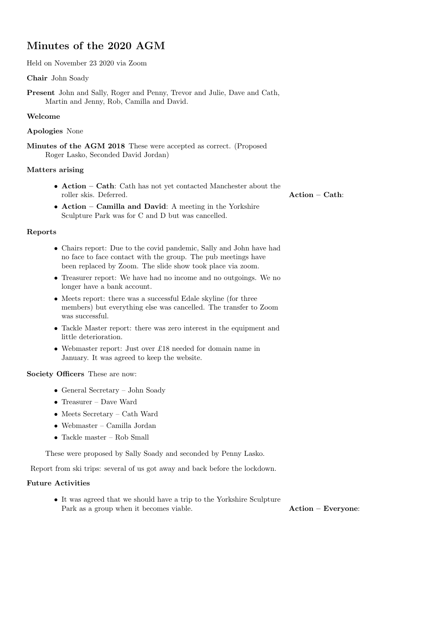# Minutes of the 2020 AGM

Held on November 23 2020 via Zoom

#### Chair John Soady

Present John and Sally, Roger and Penny, Trevor and Julie, Dave and Cath, Martin and Jenny, Rob, Camilla and David.

#### Welcome

#### Apologies None

Minutes of the AGM 2018 These were accepted as correct. (Proposed Roger Lasko, Seconded David Jordan)

#### Matters arising

• Action – Cath: Cath has not yet contacted Manchester about the roller skis. Deferred. Action – Cath:

• Action – Camilla and David: A meeting in the Yorkshire Sculpture Park was for C and D but was cancelled.

#### Reports

- Chairs report: Due to the covid pandemic, Sally and John have had no face to face contact with the group. The pub meetings have been replaced by Zoom. The slide show took place via zoom.
- Treasurer report: We have had no income and no outgoings. We no longer have a bank account.
- Meets report: there was a successful Edale skyline (for three members) but everything else was cancelled. The transfer to Zoom was successful.
- Tackle Master report: there was zero interest in the equipment and little deterioration.
- Webmaster report: Just over £18 needed for domain name in January. It was agreed to keep the website.

### Society Officers These are now:

- General Secretary John Soady
- Treasurer Dave Ward
- Meets Secretary Cath Ward
- Webmaster Camilla Jordan
- Tackle master Rob Small

These were proposed by Sally Soady and seconded by Penny Lasko.

Report from ski trips: several of us got away and back before the lockdown.

## Future Activities

• It was agreed that we should have a trip to the Yorkshire Sculpture Park as a group when it becomes viable. Action – Everyone: